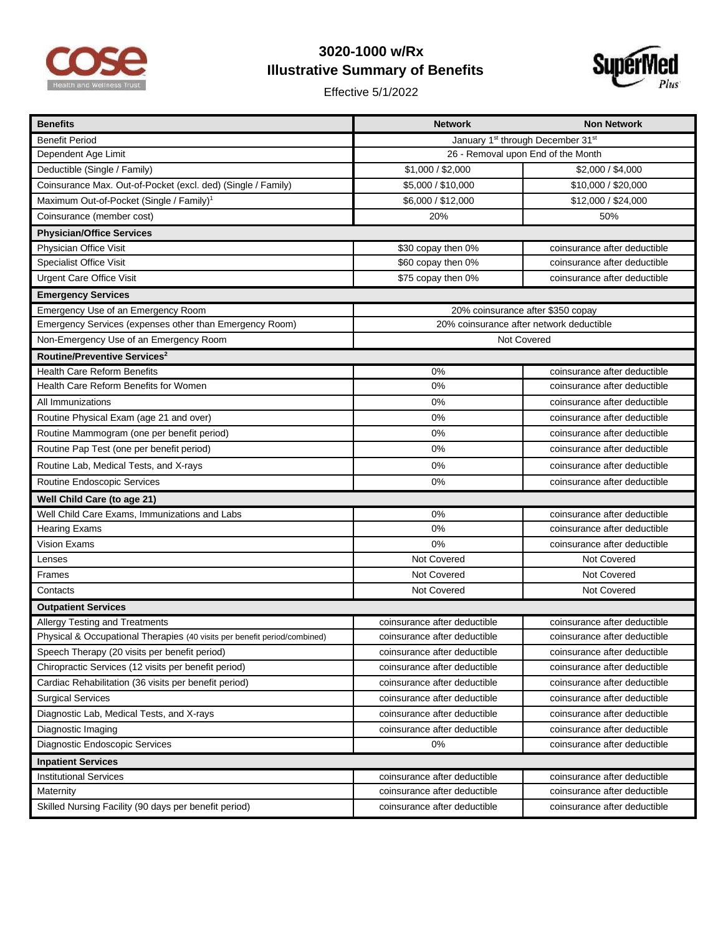

## **3020-1000 w/Rx Illustrative Summary of Benefits**

Effective 5/1/2022



| <b>Benefits</b>                                                           | <b>Network</b>                                            | <b>Non Network</b>           |  |
|---------------------------------------------------------------------------|-----------------------------------------------------------|------------------------------|--|
| <b>Benefit Period</b>                                                     | January 1 <sup>st</sup> through December 31 <sup>st</sup> |                              |  |
| Dependent Age Limit                                                       | 26 - Removal upon End of the Month                        |                              |  |
| Deductible (Single / Family)                                              | \$1,000 / \$2,000                                         | \$2,000 / \$4,000            |  |
| Coinsurance Max. Out-of-Pocket (excl. ded) (Single / Family)              | \$5,000 / \$10,000                                        | \$10,000 / \$20,000          |  |
| Maximum Out-of-Pocket (Single / Family) <sup>1</sup>                      | \$6,000 / \$12,000                                        | \$12,000 / \$24,000          |  |
| Coinsurance (member cost)                                                 | 20%                                                       | 50%                          |  |
| <b>Physician/Office Services</b>                                          |                                                           |                              |  |
| Physician Office Visit                                                    | \$30 copay then 0%                                        | coinsurance after deductible |  |
| <b>Specialist Office Visit</b>                                            | \$60 copay then 0%                                        | coinsurance after deductible |  |
| <b>Urgent Care Office Visit</b>                                           | \$75 copay then 0%                                        | coinsurance after deductible |  |
| <b>Emergency Services</b>                                                 |                                                           |                              |  |
| Emergency Use of an Emergency Room                                        | 20% coinsurance after \$350 copay                         |                              |  |
| Emergency Services (expenses other than Emergency Room)                   | 20% coinsurance after network deductible                  |                              |  |
| Non-Emergency Use of an Emergency Room                                    | Not Covered                                               |                              |  |
| Routine/Preventive Services <sup>2</sup>                                  |                                                           |                              |  |
| Health Care Reform Benefits                                               | 0%                                                        | coinsurance after deductible |  |
| Health Care Reform Benefits for Women                                     | 0%                                                        | coinsurance after deductible |  |
| All Immunizations                                                         | 0%                                                        | coinsurance after deductible |  |
| Routine Physical Exam (age 21 and over)                                   | 0%                                                        | coinsurance after deductible |  |
| Routine Mammogram (one per benefit period)                                | 0%                                                        | coinsurance after deductible |  |
| Routine Pap Test (one per benefit period)                                 | 0%                                                        | coinsurance after deductible |  |
| Routine Lab, Medical Tests, and X-rays                                    | 0%                                                        | coinsurance after deductible |  |
| Routine Endoscopic Services                                               | 0%                                                        | coinsurance after deductible |  |
| Well Child Care (to age 21)                                               |                                                           |                              |  |
| Well Child Care Exams, Immunizations and Labs                             | 0%                                                        | coinsurance after deductible |  |
| <b>Hearing Exams</b>                                                      | 0%                                                        | coinsurance after deductible |  |
| <b>Vision Exams</b>                                                       | 0%                                                        | coinsurance after deductible |  |
| Lenses                                                                    | Not Covered                                               | Not Covered                  |  |
| Frames                                                                    | Not Covered                                               | Not Covered                  |  |
| Contacts                                                                  | Not Covered                                               | Not Covered                  |  |
| <b>Outpatient Services</b>                                                |                                                           |                              |  |
| Allergy Testing and Treatments                                            | coinsurance after deductible                              | coinsurance after deductible |  |
| Physical & Occupational Therapies (40 visits per benefit period/combined) | coinsurance after deductible                              | coinsurance after deductible |  |
| Speech Therapy (20 visits per benefit period)                             | coinsurance after deductible                              | coinsurance after deductible |  |
| Chiropractic Services (12 visits per benefit period)                      | coinsurance after deductible                              | coinsurance after deductible |  |
| Cardiac Rehabilitation (36 visits per benefit period)                     | coinsurance after deductible                              | coinsurance after deductible |  |
| <b>Surgical Services</b>                                                  | coinsurance after deductible                              | coinsurance after deductible |  |
| Diagnostic Lab, Medical Tests, and X-rays                                 | coinsurance after deductible                              | coinsurance after deductible |  |
| Diagnostic Imaging                                                        | coinsurance after deductible                              | coinsurance after deductible |  |
| Diagnostic Endoscopic Services                                            | 0%                                                        | coinsurance after deductible |  |
| <b>Inpatient Services</b>                                                 |                                                           |                              |  |
| <b>Institutional Services</b>                                             | coinsurance after deductible                              | coinsurance after deductible |  |
| Maternity                                                                 | coinsurance after deductible                              | coinsurance after deductible |  |
| Skilled Nursing Facility (90 days per benefit period)                     | coinsurance after deductible                              | coinsurance after deductible |  |